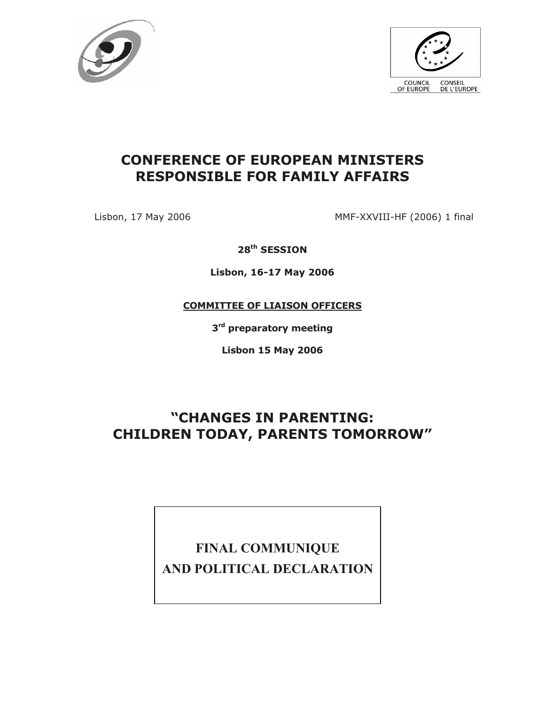



## **CONFERENCE OF EUROPEAN MINISTERS RESPONSIBLE FOR FAMILY AFFAIRS**

Lisbon, 17 May 2006 MMF-XXVIII-HF (2006) 1 final

**28th SESSION**

**Lisbon, 16-17 May 2006**

**COMMITTEE OF LIAISON OFFICERS**

**3 rd preparatory meeting**

**Lisbon 15 May 2006**

# **"CHANGES IN PARENTING: CHILDREN TODAY, PARENTS TOMORROW"**

# **FINAL COMMUNIQUE AND POLITICAL DECLARATION**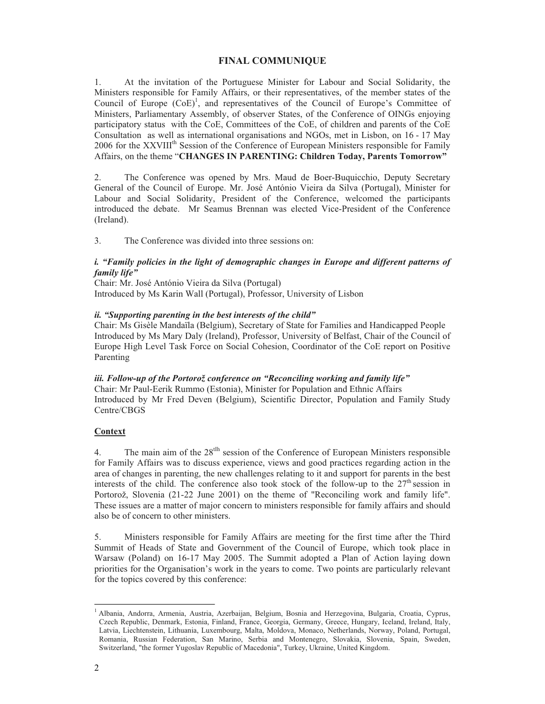#### **FINAL COMMUNIQUE**

1. At the invitation of the Portuguese Minister for Labour and Social Solidarity, the Ministers responsible for Family Affairs, or their representatives, of the member states of the Council of Europe  $(CoE)^1$ , and representatives of the Council of Europe's Committee of Ministers, Parliamentary Assembly, of observer States, of the Conference of OINGs enjoying participatory status with the CoE, Committees of the CoE, of children and parents of the CoE Consultation as well as international organisations and NGOs, met in Lisbon, on 16 - 17 May 2006 for the XXVIII<sup>th</sup> Session of the Conference of European Ministers responsible for Family Affairs, on the theme "**CHANGES IN PARENTING: Children Today, Parents Tomorrow"**

2. The Conference was opened by Mrs. Maud de Boer-Buquicchio, Deputy Secretary General of the Council of Europe. Mr. José António Vieira da Silva (Portugal), Minister for Labour and Social Solidarity, President of the Conference, welcomed the participants introduced the debate. Mr Seamus Brennan was elected Vice-President of the Conference (Ireland).

3. The Conference was divided into three sessions on:

#### *i. "Family policies in the light of demographic changes in Europe and different patterns of family life"*

Chair: Mr. José António Vieira da Silva (Portugal) Introduced by Ms Karin Wall (Portugal), Professor, University of Lisbon

#### *ii. "Supporting parenting in the best interests of the child"*

Chair: Ms Gisèle Mandaïla (Belgium), Secretary of State for Families and Handicapped People Introduced by Ms Mary Daly (Ireland), Professor, University of Belfast, Chair of the Council of Europe High Level Task Force on Social Cohesion, Coordinator of the CoE report on Positive Parenting

*iii. Follow-up of the Portorož conference on "Reconciling working and family life"* Chair: Mr Paul-Eerik Rummo (Estonia), Minister for Population and Ethnic Affairs Introduced by Mr Fred Deven (Belgium), Scientific Director, Population and Family Study Centre/CBGS

#### **Context**

4. The main aim of the 28<sup>th</sup> session of the Conference of European Ministers responsible for Family Affairs was to discuss experience, views and good practices regarding action in the area of changes in parenting, the new challenges relating to it and support for parents in the best interests of the child. The conference also took stock of the follow-up to the  $27<sup>th</sup>$  session in Portorož, Slovenia (21-22 June 2001) on the theme of "Reconciling work and family life". These issues are a matter of major concern to ministers responsible for family affairs and should also be of concern to other ministers.

5. Ministers responsible for Family Affairs are meeting for the first time after the Third Summit of Heads of State and Government of the Council of Europe, which took place in Warsaw (Poland) on 16-17 May 2005. The Summit adopted a Plan of Action laying down priorities for the Organisation's work in the years to come. Two points are particularly relevant for the topics covered by this conference:

<sup>&</sup>lt;sup>1</sup> Albania, Andorra, Armenia, Austria, Azerbaijan, Belgium, Bosnia and Herzegovina, Bulgaria, Croatia, Cyprus, Czech Republic, Denmark, Estonia, Finland, France, Georgia, Germany, Greece, Hungary, Iceland, Ireland, Italy, Latvia, Liechtenstein, Lithuania, Luxembourg, Malta, Moldova, Monaco, Netherlands, Norway, Poland, Portugal, Romania, Russian Federation, San Marino, Serbia and Montenegro, Slovakia, Slovenia, Spain, Sweden, Switzerland, "the former Yugoslav Republic of Macedonia", Turkey, Ukraine, United Kingdom.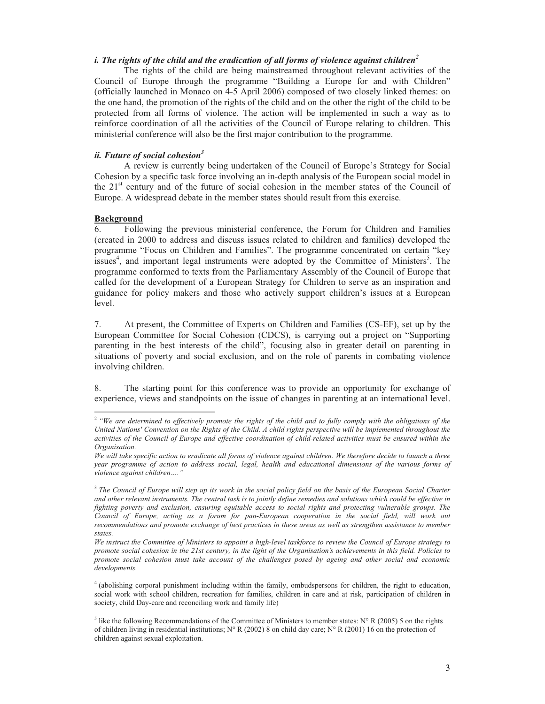## *i. The rights of the child and the eradication of all forms of violence against children 2*

The rights of the child are being mainstreamed throughout relevant activities of the Council of Europe through the programme "Building a Europe for and with Children" (officially launched in Monaco on 4-5 April 2006) composed of two closely linked themes: on the one hand, the promotion of the rights of the child and on the other the right of the child to be protected from all forms of violence. The action will be implemented in such a way as to reinforce coordination of all the activities of the Council of Europe relating to children. This ministerial conference will also be the first major contribution to the programme.

### *ii. Future of social cohesion 3*

A review is currently being undertaken of the Council of Europe's Strategy for Social Cohesion by a specific task force involving an in-depth analysis of the European social model in the  $21<sup>st</sup>$  century and of the future of social cohesion in the member states of the Council of Europe. A widespread debate in the member states should result from this exercise.

#### **Background**

6. Following the previous ministerial conference, the Forum for Children and Families (created in 2000 to address and discuss issues related to children and families) developed the programme "Focus on Children and Families". The programme concentrated on certain "key issues<sup>4</sup>, and important legal instruments were adopted by the Committee of Ministers<sup>5</sup>. The programme conformed to texts from the Parliamentary Assembly of the Council of Europe that called for the development of a European Strategy for Children to serve as an inspiration and guidance for policy makers and those who actively support children's issues at a European level.

7. At present, the Committee of Experts on Children and Families (CS-EF), set up by the European Committee for Social Cohesion (CDCS), is carrying out a project on "Supporting parenting in the best interests of the child", focusing also in greater detail on parenting in situations of poverty and social exclusion, and on the role of parents in combating violence involving children.

8. The starting point for this conference was to provide an opportunity for exchange of experience, views and standpoints on the issue of changes in parenting at an international level.

<sup>2</sup> *"We are determined to effectively promote the rights of the child and to fully comply with the obligations of the United Nations' Convention on the Rights of the Child. A child rights perspective will be implemented throughout the activities of the Council of Europe and effective coordination of child-related activities must be ensured within the Organisation.*

*We will take specific action to eradicate all forms of violence against children. We therefore decide to launch a three year programme of action to address social, legal, health and educational dimensions of the various forms of violence against children…."*

<sup>3</sup> *The Council of Europe will step up its work in the social policy field on the basis of the European Social Charter and other relevant instruments. The central task is to jointly define remedies and solutions which could be effective in fighting poverty and exclusion, ensuring equitable access to social rights and protecting vulnerable groups. The Council of Europe, acting as a forum for pan-European cooperation in the social field, will work out recommendations and promote exchange of best practices in these areas as well as strengthen assistance to member states.* 

*We instruct the Committee of Ministers to appoint a high-level taskforce to review the Council of Europe strategy to promote social cohesion in the 21st century, in the light of the Organisation's achievements in this field. Policies to promote social cohesion must take account of the challenges posed by ageing and other social and economic developments.*

<sup>4</sup> (abolishing corporal punishment including within the family, ombudspersons for children, the right to education, social work with school children, recreation for families, children in care and at risk, participation of children in society, child Day-care and reconciling work and family life)

<sup>&</sup>lt;sup>5</sup> like the following Recommendations of the Committee of Ministers to member states: N° R (2005) 5 on the rights of children living in residential institutions; N° R (2002) 8 on child day care; N° R (2001) 16 on the protection of children against sexual exploitation.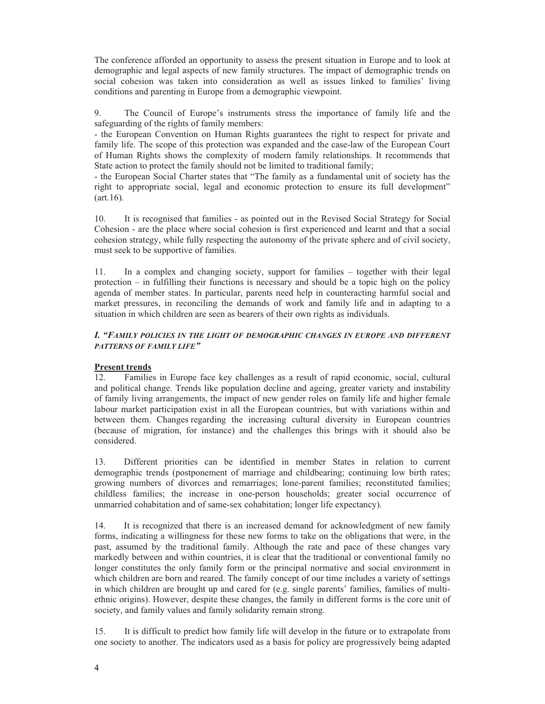The conference afforded an opportunity to assess the present situation in Europe and to look at demographic and legal aspects of new family structures. The impact of demographic trends on social cohesion was taken into consideration as well as issues linked to families' living conditions and parenting in Europe from a demographic viewpoint.

9. The Council of Europe's instruments stress the importance of family life and the safeguarding of the rights of family members:

- the European Convention on Human Rights guarantees the right to respect for private and family life. The scope of this protection was expanded and the case-law of the European Court of Human Rights shows the complexity of modern family relationships. It recommends that State action to protect the family should not be limited to traditional family;

- the European Social Charter states that "The family as a fundamental unit of society has the right to appropriate social, legal and economic protection to ensure its full development"  $(\text{art.16})$ .

10. It is recognised that families - as pointed out in the Revised Social Strategy for Social Cohesion - are the place where social cohesion is first experienced and learnt and that a social cohesion strategy, while fully respecting the autonomy of the private sphere and of civil society, must seek to be supportive of families.

11. In a complex and changing society, support for families – together with their legal protection – in fulfilling their functions is necessary and should be a topic high on the policy agenda of member states. In particular, parents need help in counteracting harmful social and market pressures, in reconciling the demands of work and family life and in adapting to a situation in which children are seen as bearers of their own rights as individuals.

#### *I. "FAMILY POLICIES IN THE LIGHT OF DEMOGRAPHIC CHANGES IN EUROPE AND DIFFERENT PATTERNS OF FAMILY LIFE"*

#### **Present trends**

12. Families in Europe face key challenges as a result of rapid economic, social, cultural and political change. Trends like population decline and ageing, greater variety and instability of family living arrangements, the impact of new gender roles on family life and higher female labour market participation exist in all the European countries, but with variations within and between them. Changes regarding the increasing cultural diversity in European countries (because of migration, for instance) and the challenges this brings with it should also be considered.

13. Different priorities can be identified in member States in relation to current demographic trends (postponement of marriage and childbearing; continuing low birth rates; growing numbers of divorces and remarriages; lone-parent families; reconstituted families; childless families; the increase in one-person households; greater social occurrence of unmarried cohabitation and of same-sex cohabitation; longer life expectancy).

14. It is recognized that there is an increased demand for acknowledgment of new family forms, indicating a willingness for these new forms to take on the obligations that were, in the past, assumed by the traditional family. Although the rate and pace of these changes vary markedly between and within countries, it is clear that the traditional or conventional family no longer constitutes the only family form or the principal normative and social environment in which children are born and reared. The family concept of our time includes a variety of settings in which children are brought up and cared for (e.g. single parents' families, families of multiethnic origins). However, despite these changes, the family in different forms is the core unit of society, and family values and family solidarity remain strong.

15. It is difficult to predict how family life will develop in the future or to extrapolate from one society to another. The indicators used as a basis for policy are progressively being adapted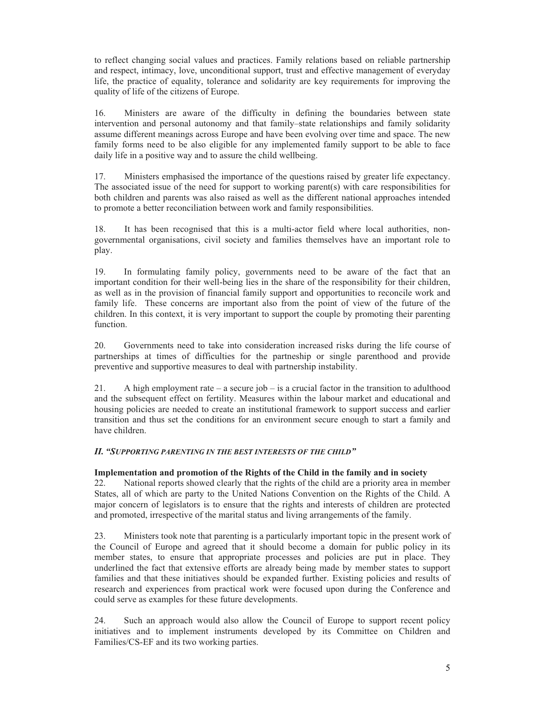to reflect changing social values and practices. Family relations based on reliable partnership and respect, intimacy, love, unconditional support, trust and effective management of everyday life, the practice of equality, tolerance and solidarity are key requirements for improving the quality of life of the citizens of Europe.

16. Ministers are aware of the difficulty in defining the boundaries between state intervention and personal autonomy and that family–state relationships and family solidarity assume different meanings across Europe and have been evolving over time and space. The new family forms need to be also eligible for any implemented family support to be able to face daily life in a positive way and to assure the child wellbeing.

17. Ministers emphasised the importance of the questions raised by greater life expectancy. The associated issue of the need for support to working parent(s) with care responsibilities for both children and parents was also raised as well as the different national approaches intended to promote a better reconciliation between work and family responsibilities.

18. It has been recognised that this is a multi-actor field where local authorities, nongovernmental organisations, civil society and families themselves have an important role to play.

19. In formulating family policy, governments need to be aware of the fact that an important condition for their well-being lies in the share of the responsibility for their children, as well as in the provision of financial family support and opportunities to reconcile work and family life. These concerns are important also from the point of view of the future of the children. In this context, it is very important to support the couple by promoting their parenting function.

20. Governments need to take into consideration increased risks during the life course of partnerships at times of difficulties for the partneship or single parenthood and provide preventive and supportive measures to deal with partnership instability.

21. A high employment rate – a secure job – is a crucial factor in the transition to adulthood and the subsequent effect on fertility. Measures within the labour market and educational and housing policies are needed to create an institutional framework to support success and earlier transition and thus set the conditions for an environment secure enough to start a family and have children.

#### *II. "SUPPORTING PARENTING IN THE BEST INTERESTS OF THE CHILD"*

#### **Implementation and promotion of the Rights of the Child in the family and in society**

22. National reports showed clearly that the rights of the child are a priority area in member States, all of which are party to the United Nations Convention on the Rights of the Child. A major concern of legislators is to ensure that the rights and interests of children are protected and promoted, irrespective of the marital status and living arrangements of the family.

23. Ministers took note that parenting is a particularly important topic in the present work of the Council of Europe and agreed that it should become a domain for public policy in its member states, to ensure that appropriate processes and policies are put in place. They underlined the fact that extensive efforts are already being made by member states to support families and that these initiatives should be expanded further. Existing policies and results of research and experiences from practical work were focused upon during the Conference and could serve as examples for these future developments.

24. Such an approach would also allow the Council of Europe to support recent policy initiatives and to implement instruments developed by its Committee on Children and Families/CS-EF and its two working parties.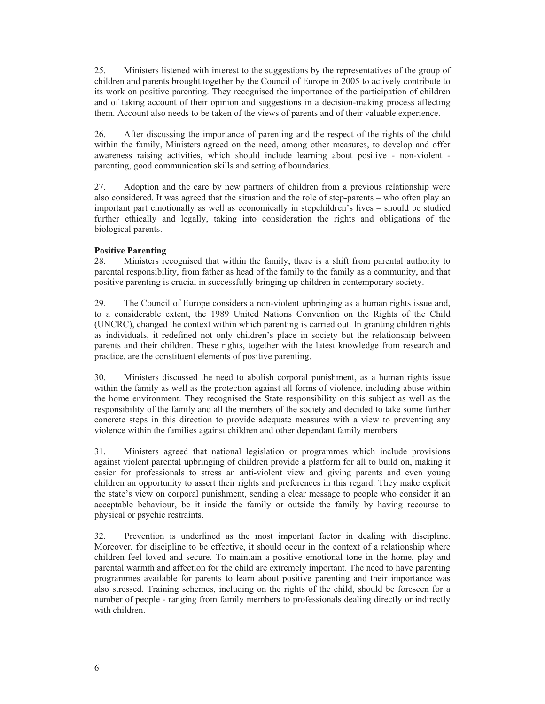25. Ministers listened with interest to the suggestions by the representatives of the group of children and parents brought together by the Council of Europe in 2005 to actively contribute to its work on positive parenting. They recognised the importance of the participation of children and of taking account of their opinion and suggestions in a decision-making process affecting them. Account also needs to be taken of the views of parents and of their valuable experience.

26. After discussing the importance of parenting and the respect of the rights of the child within the family, Ministers agreed on the need, among other measures, to develop and offer awareness raising activities, which should include learning about positive - non-violent parenting, good communication skills and setting of boundaries.

27. Adoption and the care by new partners of children from a previous relationship were also considered. It was agreed that the situation and the role of step-parents – who often play an important part emotionally as well as economically in stepchildren's lives – should be studied further ethically and legally, taking into consideration the rights and obligations of the biological parents.

#### **Positive Parenting**

28. Ministers recognised that within the family, there is a shift from parental authority to parental responsibility, from father as head of the family to the family as a community, and that positive parenting is crucial in successfully bringing up children in contemporary society.

29. The Council of Europe considers a non-violent upbringing as a human rights issue and, to a considerable extent, the 1989 United Nations Convention on the Rights of the Child (UNCRC), changed the context within which parenting is carried out. In granting children rights as individuals, it redefined not only children's place in society but the relationship between parents and their children. These rights, together with the latest knowledge from research and practice, are the constituent elements of positive parenting.

30. Ministers discussed the need to abolish corporal punishment, as a human rights issue within the family as well as the protection against all forms of violence, including abuse within the home environment. They recognised the State responsibility on this subject as well as the responsibility of the family and all the members of the society and decided to take some further concrete steps in this direction to provide adequate measures with a view to preventing any violence within the families against children and other dependant family members

31. Ministers agreed that national legislation or programmes which include provisions against violent parental upbringing of children provide a platform for all to build on, making it easier for professionals to stress an anti-violent view and giving parents and even young children an opportunity to assert their rights and preferences in this regard. They make explicit the state's view on corporal punishment, sending a clear message to people who consider it an acceptable behaviour, be it inside the family or outside the family by having recourse to physical or psychic restraints.

32. Prevention is underlined as the most important factor in dealing with discipline. Moreover, for discipline to be effective, it should occur in the context of a relationship where children feel loved and secure. To maintain a positive emotional tone in the home, play and parental warmth and affection for the child are extremely important. The need to have parenting programmes available for parents to learn about positive parenting and their importance was also stressed. Training schemes, including on the rights of the child, should be foreseen for a number of people - ranging from family members to professionals dealing directly or indirectly with children.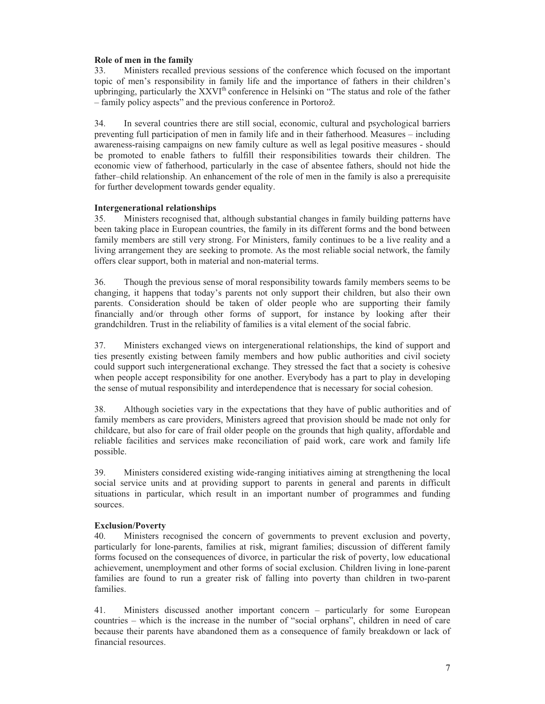#### **Role of men in the family**

33. Ministers recalled previous sessions of the conference which focused on the important topic of men's responsibility in family life and the importance of fathers in their children's upbringing, particularly the  $XXVI<sup>th</sup>$  conference in Helsinki on "The status and role of the father – family policy aspects" and the previous conference in Portorož.

34. In several countries there are still social, economic, cultural and psychological barriers preventing full participation of men in family life and in their fatherhood. Measures – including awareness-raising campaigns on new family culture as well as legal positive measures - should be promoted to enable fathers to fulfill their responsibilities towards their children. The economic view of fatherhood, particularly in the case of absentee fathers, should not hide the father–child relationship. An enhancement of the role of men in the family is also a prerequisite for further development towards gender equality.

#### **Intergenerational relationships**

35. Ministers recognised that, although substantial changes in family building patterns have been taking place in European countries, the family in its different forms and the bond between family members are still very strong. For Ministers, family continues to be a live reality and a living arrangement they are seeking to promote. As the most reliable social network, the family offers clear support, both in material and non-material terms.

36. Though the previous sense of moral responsibility towards family members seems to be changing, it happens that today's parents not only support their children, but also their own parents. Consideration should be taken of older people who are supporting their family financially and/or through other forms of support, for instance by looking after their grandchildren. Trust in the reliability of families is a vital element of the social fabric.

37. Ministers exchanged views on intergenerational relationships, the kind of support and ties presently existing between family members and how public authorities and civil society could support such intergenerational exchange. They stressed the fact that a society is cohesive when people accept responsibility for one another. Everybody has a part to play in developing the sense of mutual responsibility and interdependence that is necessary for social cohesion.

38. Although societies vary in the expectations that they have of public authorities and of family members as care providers, Ministers agreed that provision should be made not only for childcare, but also for care of frail older people on the grounds that high quality, affordable and reliable facilities and services make reconciliation of paid work, care work and family life possible.

39. Ministers considered existing wide-ranging initiatives aiming at strengthening the local social service units and at providing support to parents in general and parents in difficult situations in particular, which result in an important number of programmes and funding sources.

#### **Exclusion/Poverty**

40. Ministers recognised the concern of governments to prevent exclusion and poverty, particularly for lone-parents, families at risk, migrant families; discussion of different family forms focused on the consequences of divorce, in particular the risk of poverty, low educational achievement, unemployment and other forms of social exclusion. Children living in lone-parent families are found to run a greater risk of falling into poverty than children in two-parent families.

41. Ministers discussed another important concern – particularly for some European countries – which is the increase in the number of "social orphans", children in need of care because their parents have abandoned them as a consequence of family breakdown or lack of financial resources.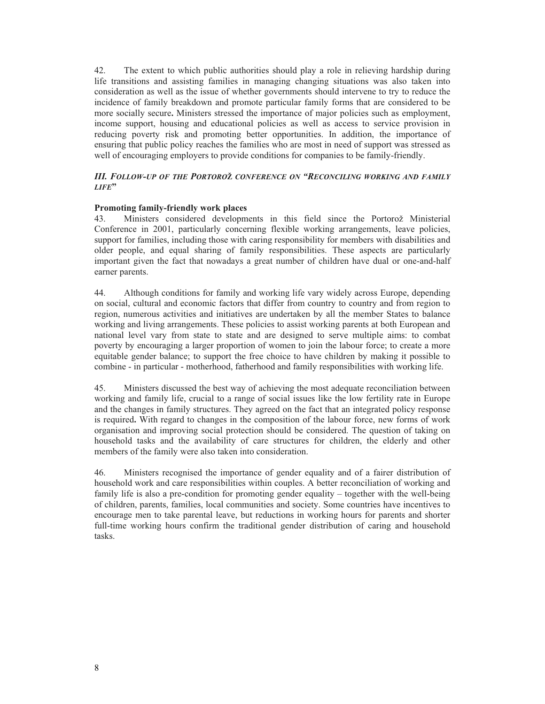42. The extent to which public authorities should play a role in relieving hardship during life transitions and assisting families in managing changing situations was also taken into consideration as well as the issue of whether governments should intervene to try to reduce the incidence of family breakdown and promote particular family forms that are considered to be more socially secure**.** Ministers stressed the importance of major policies such as employment, income support, housing and educational policies as well as access to service provision in reducing poverty risk and promoting better opportunities. In addition, the importance of ensuring that public policy reaches the families who are most in need of support was stressed as well of encouraging employers to provide conditions for companies to be family-friendly.

#### *III. FOLLOW-UP OF THE PORTORO***Ž** *CONFERENCE ON "RECONCILING WORKING AND FAMILY LIFE***"**

#### **Promoting family-friendly work places**

43. Ministers considered developments in this field since the Portorož Ministerial Conference in 2001, particularly concerning flexible working arrangements, leave policies, support for families, including those with caring responsibility for members with disabilities and older people, and equal sharing of family responsibilities. These aspects are particularly important given the fact that nowadays a great number of children have dual or one-and-half earner parents.

44. Although conditions for family and working life vary widely across Europe, depending on social, cultural and economic factors that differ from country to country and from region to region, numerous activities and initiatives are undertaken by all the member States to balance working and living arrangements. These policies to assist working parents at both European and national level vary from state to state and are designed to serve multiple aims: to combat poverty by encouraging a larger proportion of women to join the labour force; to create a more equitable gender balance; to support the free choice to have children by making it possible to combine - in particular - motherhood, fatherhood and family responsibilities with working life.

45. Ministers discussed the best way of achieving the most adequate reconciliation between working and family life, crucial to a range of social issues like the low fertility rate in Europe and the changes in family structures. They agreed on the fact that an integrated policy response is required**.** With regard to changes in the composition of the labour force, new forms of work organisation and improving social protection should be considered. The question of taking on household tasks and the availability of care structures for children, the elderly and other members of the family were also taken into consideration.

46. Ministers recognised the importance of gender equality and of a fairer distribution of household work and care responsibilities within couples. A better reconciliation of working and family life is also a pre-condition for promoting gender equality – together with the well-being of children, parents, families, local communities and society. Some countries have incentives to encourage men to take parental leave, but reductions in working hours for parents and shorter full-time working hours confirm the traditional gender distribution of caring and household tasks.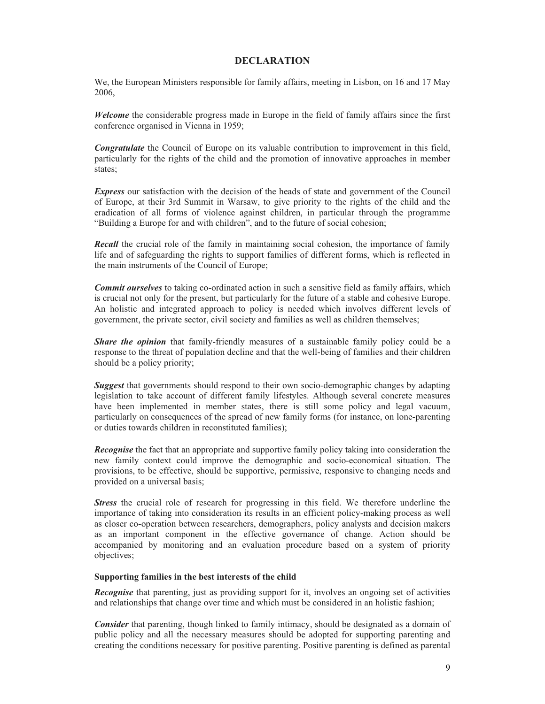#### **DECLARATION**

We, the European Ministers responsible for family affairs, meeting in Lisbon, on 16 and 17 May 2006,

*Welcome* the considerable progress made in Europe in the field of family affairs since the first conference organised in Vienna in 1959;

*Congratulate* the Council of Europe on its valuable contribution to improvement in this field, particularly for the rights of the child and the promotion of innovative approaches in member states;

*Express* our satisfaction with the decision of the heads of state and government of the Council of Europe, at their 3rd Summit in Warsaw, to give priority to the rights of the child and the eradication of all forms of violence against children, in particular through the programme "Building a Europe for and with children", and to the future of social cohesion;

*Recall* the crucial role of the family in maintaining social cohesion, the importance of family life and of safeguarding the rights to support families of different forms, which is reflected in the main instruments of the Council of Europe;

*Commit ourselves* to taking co-ordinated action in such a sensitive field as family affairs, which is crucial not only for the present, but particularly for the future of a stable and cohesive Europe. An holistic and integrated approach to policy is needed which involves different levels of government, the private sector, civil society and families as well as children themselves;

*Share the opinion* that family-friendly measures of a sustainable family policy could be a response to the threat of population decline and that the well-being of families and their children should be a policy priority;

*Suggest* that governments should respond to their own socio-demographic changes by adapting legislation to take account of different family lifestyles. Although several concrete measures have been implemented in member states, there is still some policy and legal vacuum, particularly on consequences of the spread of new family forms (for instance, on lone-parenting or duties towards children in reconstituted families);

*Recognise* the fact that an appropriate and supportive family policy taking into consideration the new family context could improve the demographic and socio-economical situation. The provisions, to be effective, should be supportive, permissive, responsive to changing needs and provided on a universal basis;

*Stress* the crucial role of research for progressing in this field. We therefore underline the importance of taking into consideration its results in an efficient policy-making process as well as closer co-operation between researchers, demographers, policy analysts and decision makers as an important component in the effective governance of change. Action should be accompanied by monitoring and an evaluation procedure based on a system of priority objectives;

#### **Supporting families in the best interests of the child**

*Recognise* that parenting, just as providing support for it, involves an ongoing set of activities and relationships that change over time and which must be considered in an holistic fashion;

*Consider* that parenting, though linked to family intimacy, should be designated as a domain of public policy and all the necessary measures should be adopted for supporting parenting and creating the conditions necessary for positive parenting. Positive parenting is defined as parental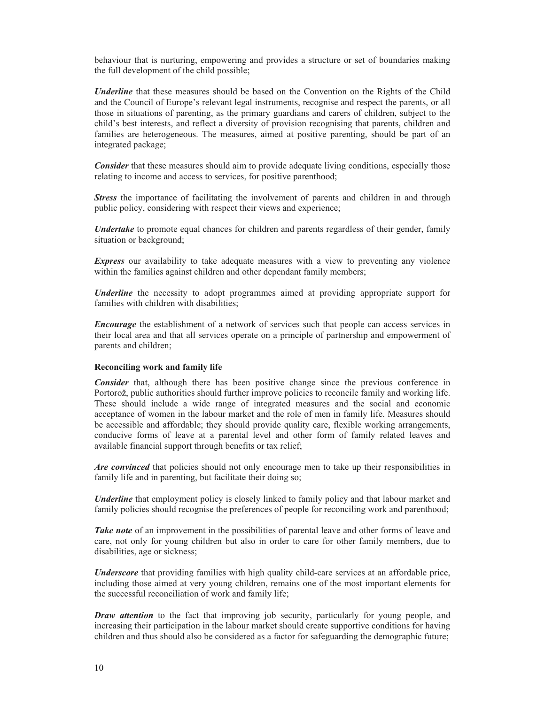behaviour that is nurturing, empowering and provides a structure or set of boundaries making the full development of the child possible;

*Underline* that these measures should be based on the Convention on the Rights of the Child and the Council of Europe's relevant legal instruments, recognise and respect the parents, or all those in situations of parenting, as the primary guardians and carers of children, subject to the child's best interests, and reflect a diversity of provision recognising that parents, children and families are heterogeneous. The measures, aimed at positive parenting, should be part of an integrated package;

*Consider* that these measures should aim to provide adequate living conditions, especially those relating to income and access to services, for positive parenthood;

*Stress* the importance of facilitating the involvement of parents and children in and through public policy, considering with respect their views and experience;

*Undertake* to promote equal chances for children and parents regardless of their gender, family situation or background;

*Express* our availability to take adequate measures with a view to preventing any violence within the families against children and other dependant family members;

*Underline* the necessity to adopt programmes aimed at providing appropriate support for families with children with disabilities;

*Encourage* the establishment of a network of services such that people can access services in their local area and that all services operate on a principle of partnership and empowerment of parents and children;

#### **Reconciling work and family life**

*Consider* that, although there has been positive change since the previous conference in Portorož, public authorities should further improve policies to reconcile family and working life. These should include a wide range of integrated measures and the social and economic acceptance of women in the labour market and the role of men in family life. Measures should be accessible and affordable; they should provide quality care, flexible working arrangements, conducive forms of leave at a parental level and other form of family related leaves and available financial support through benefits or tax relief;

*Are convinced* that policies should not only encourage men to take up their responsibilities in family life and in parenting, but facilitate their doing so;

*Underline* that employment policy is closely linked to family policy and that labour market and family policies should recognise the preferences of people for reconciling work and parenthood;

*Take note* of an improvement in the possibilities of parental leave and other forms of leave and care, not only for young children but also in order to care for other family members, due to disabilities, age or sickness;

*Underscore* that providing families with high quality child-care services at an affordable price, including those aimed at very young children, remains one of the most important elements for the successful reconciliation of work and family life;

*Draw attention* to the fact that improving job security, particularly for young people, and increasing their participation in the labour market should create supportive conditions for having children and thus should also be considered as a factor for safeguarding the demographic future;